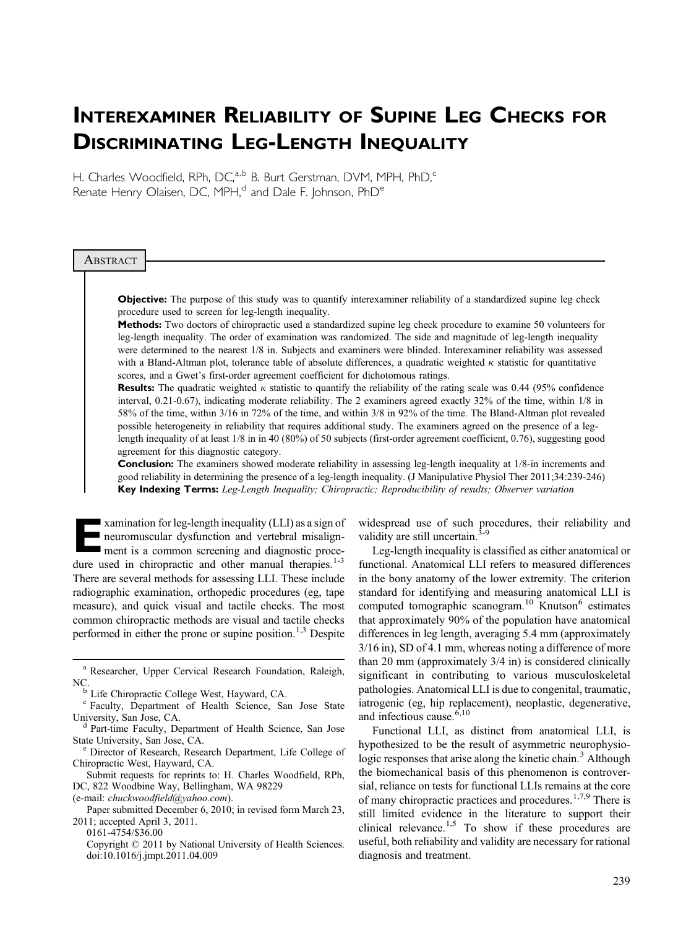# INTEREXAMINER RELIABILITY OF SUPINE LEG CHECKS FOR **DISCRIMINATING LEG-LENGTH INEQUALITY**

H. Charles Woodfield, RPh, DC,<sup>a,b</sup> B. Burt Gerstman, DVM, MPH, PhD,<sup>c</sup> Renate Henry Olaisen, DC, MPH,<sup>d</sup> and Dale F. Johnson, PhD<sup>e</sup>

#### **ABSTRACT**

**Objective:** The purpose of this study was to quantify interexaminer reliability of a standardized supine leg check procedure used to screen for leg-length inequality.

Methods: Two doctors of chiropractic used a standardized supine leg check procedure to examine 50 volunteers for leg-length inequality. The order of examination was randomized. The side and magnitude of leg-length inequality were determined to the nearest 1/8 in. Subjects and examiners were blinded. Interexaminer reliability was assessed with a Bland-Altman plot, tolerance table of absolute differences, a quadratic weighted  $\kappa$  statistic for quantitative scores, and a Gwet's first-order agreement coefficient for dichotomous ratings.

**Results:** The quadratic weighted  $\kappa$  statistic to quantify the reliability of the rating scale was 0.44 (95% confidence interval, 0.21-0.67), indicating moderate reliability. The 2 examiners agreed exactly 32% of the time, within 1/8 in 58% of the time, within 3/16 in 72% of the time, and within 3/8 in 92% of the time. The Bland-Altman plot revealed possible heterogeneity in reliability that requires additional study. The examiners agreed on the presence of a leglength inequality of at least 1/8 in in 40 (80%) of 50 subjects (first-order agreement coefficient, 0.76), suggesting good agreement for this diagnostic category.

**Conclusion:** The examiners showed moderate reliability in assessing leg-length inequality at 1/8-in increments and good reliability in determining the presence of a leg-length inequality. (J Manipulative Physiol Ther 2011;34:239-246) Key Indexing Terms: Leg-Length Inequality; Chiropractic; Reproducibility of results; Observer variation

xamination for leg-length inequality (LLI) as a sign of<br>neuromuscular dysfunction and vertebral misalign-<br>ment is a common screening and diagnostic proce-<br>dure used in objectments and other menual there is <sup>1-3</sup> neuromuscular dysfunction and vertebral misaligndure used in chiropractic and other manual therapies.<sup>1-3</sup> There are several methods for assessing LLI. These include radiographic examination, orthopedic procedures (eg, tape measure), and quick visual and tactile checks. The most common chiropractic methods are visual and tactile checks performed in either the prone or supine position.<sup>1,3</sup> Despite

widespread use of such procedures, their reliability and validity are still uncertain. $3-9$ 

Leg-length inequality is classified as either anatomical or functional. Anatomical LLI refers to measured differences in the bony anatomy of the lower extremity. The criterion standard for identifying and measuring anatomical LLI is computed tomographic scanogram.<sup>10</sup> Knutson<sup>6</sup> estimates that approximately 90% of the population have anatomical differences in leg length, averaging 5.4 mm (approximately 3/16 in), SD of 4.1 mm, whereas noting a difference of more than 20 mm (approximately 3/4 in) is considered clinically significant in contributing to various musculoskeletal pathologies. Anatomical LLI is due to congenital, traumatic, iatrogenic (eg, hip replacement), neoplastic, degenerative, and infectious cause.<sup>6,10</sup>

Functional LLI, as distinct from anatomical LLI, is hypothesized to be the result of asymmetric neurophysiologic responses that arise along the kinetic chain.<sup>3</sup> Although the biomechanical basis of this phenomenon is controversial, reliance on tests for functional LLIs remains at the core of many chiropractic practices and procedures.<sup>1,7,9</sup> There is still limited evidence in the literature to support their clinical relevance.<sup>1,5</sup> To show if these procedures are useful, both reliability and validity are necessary for rational diagnosis and treatment.

<sup>a</sup> Researcher, Upper Cervical Research Foundation, Raleigh,

NC.<br><sup>b</sup> Life Chiropractic College West, Hayward, CA.<br><sup>c</sup> Faculty, Department of Health Science, San Jose State<br>University, San Jose, CA.

<sup>&</sup>lt;sup>d</sup> Part-time Faculty, Department of Health Science, San Jose State University, San Jose, CA.<br>
<sup>e</sup> Director of Research, Research Department, Life College of

Chiropractic West, Hayward, CA.

Submit requests for reprints to: H. Charles Woodfield, RPh, DC, 822 Woodbine Way, Bellingham, WA 98229

<sup>(</sup>e-mail: chuckwoodfield@yahoo.com).

Paper submitted December 6, 2010; in revised form March 23, 2011; accepted April 3, 2011.

<sup>0161-4754/\$36.00</sup>

Copyright © 2011 by National University of Health Sciences. doi:10.1016/j.jmpt.2011.04.009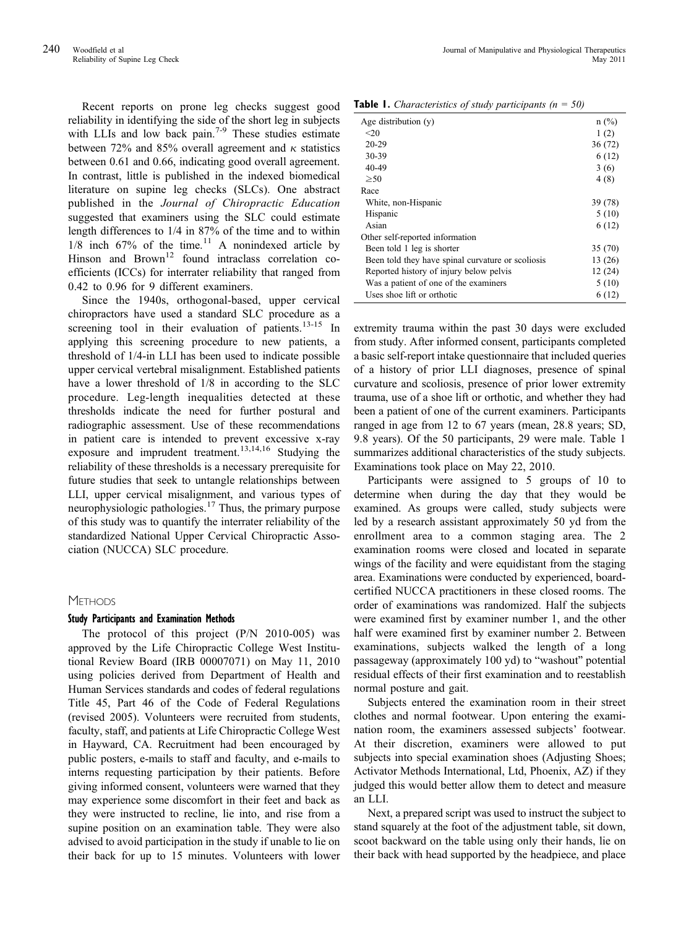Recent reports on prone leg checks suggest good reliability in identifying the side of the short leg in subjects with LLIs and low back pain.<sup>7-9</sup> These studies estimate between 72% and 85% overall agreement and  $\kappa$  statistics between 0.61 and 0.66, indicating good overall agreement. In contrast, little is published in the indexed biomedical literature on supine leg checks (SLCs). One abstract published in the Journal of Chiropractic Education suggested that examiners using the SLC could estimate length differences to 1/4 in 87% of the time and to within  $1/8$  inch 67% of the time.<sup>11</sup> A nonindexed article by Hinson and Brown<sup>12</sup> found intraclass correlation coefficients (ICCs) for interrater reliability that ranged from 0.42 to 0.96 for 9 different examiners.

Since the 1940s, orthogonal-based, upper cervical chiropractors have used a standard SLC procedure as a screening tool in their evaluation of patients.<sup>13-15</sup> In applying this screening procedure to new patients, a threshold of 1/4-in LLI has been used to indicate possible upper cervical vertebral misalignment. Established patients have a lower threshold of 1/8 in according to the SLC procedure. Leg-length inequalities detected at these thresholds indicate the need for further postural and radiographic assessment. Use of these recommendations in patient care is intended to prevent excessive x-ray exposure and imprudent treatment.13,14,16 Studying the reliability of these thresholds is a necessary prerequisite for future studies that seek to untangle relationships between LLI, upper cervical misalignment, and various types of neurophysiologic pathologies.<sup>17</sup> Thus, the primary purpose of this study was to quantify the interrater reliability of the standardized National Upper Cervical Chiropractic Association (NUCCA) SLC procedure.

# **METHODS**

#### Study Participants and Examination Methods

The protocol of this project (P/N 2010-005) was approved by the Life Chiropractic College West Institutional Review Board (IRB 00007071) on May 11, 2010 using policies derived from Department of Health and Human Services standards and codes of federal regulations Title 45, Part 46 of the Code of Federal Regulations (revised 2005). Volunteers were recruited from students, faculty, staff, and patients at Life Chiropractic College West in Hayward, CA. Recruitment had been encouraged by public posters, e-mails to staff and faculty, and e-mails to interns requesting participation by their patients. Before giving informed consent, volunteers were warned that they may experience some discomfort in their feet and back as they were instructed to recline, lie into, and rise from a supine position on an examination table. They were also advised to avoid participation in the study if unable to lie on their back for up to 15 minutes. Volunteers with lower

**Table 1.** Characteristics of study participants ( $n = 50$ )

| Age distribution $(y)$                            | $n$ (%) |
|---------------------------------------------------|---------|
| $20$                                              | 1(2)    |
| $20 - 29$                                         | 36(72)  |
| 30-39                                             | 6(12)   |
| 40-49                                             | 3(6)    |
| > 50                                              | 4(8)    |
| Race                                              |         |
| White, non-Hispanic                               | 39 (78) |
| Hispanic                                          | 5(10)   |
| Asian                                             | 6 (12)  |
| Other self-reported information                   |         |
| Been told 1 leg is shorter                        | 35(70)  |
| Been told they have spinal curvature or scoliosis | 13(26)  |
| Reported history of injury below pelvis           | 12(24)  |
| Was a patient of one of the examiners             | 5(10)   |
| Uses shoe lift or orthotic                        | 6 (12)  |

extremity trauma within the past 30 days were excluded from study. After informed consent, participants completed a basic self-report intake questionnaire that included queries of a history of prior LLI diagnoses, presence of spinal curvature and scoliosis, presence of prior lower extremity trauma, use of a shoe lift or orthotic, and whether they had been a patient of one of the current examiners. Participants ranged in age from 12 to 67 years (mean, 28.8 years; SD, 9.8 years). Of the 50 participants, 29 were male. Table 1 summarizes additional characteristics of the study subjects. Examinations took place on May 22, 2010.

Participants were assigned to 5 groups of 10 to determine when during the day that they would be examined. As groups were called, study subjects were led by a research assistant approximately 50 yd from the enrollment area to a common staging area. The 2 examination rooms were closed and located in separate wings of the facility and were equidistant from the staging area. Examinations were conducted by experienced, boardcertified NUCCA practitioners in these closed rooms. The order of examinations was randomized. Half the subjects were examined first by examiner number 1, and the other half were examined first by examiner number 2. Between examinations, subjects walked the length of a long passageway (approximately 100 yd) to "washout" potential residual effects of their first examination and to reestablish normal posture and gait.

Subjects entered the examination room in their street clothes and normal footwear. Upon entering the examination room, the examiners assessed subjects' footwear. At their discretion, examiners were allowed to put subjects into special examination shoes (Adjusting Shoes; Activator Methods International, Ltd, Phoenix, AZ) if they judged this would better allow them to detect and measure an LLI.

Next, a prepared script was used to instruct the subject to stand squarely at the foot of the adjustment table, sit down, scoot backward on the table using only their hands, lie on their back with head supported by the headpiece, and place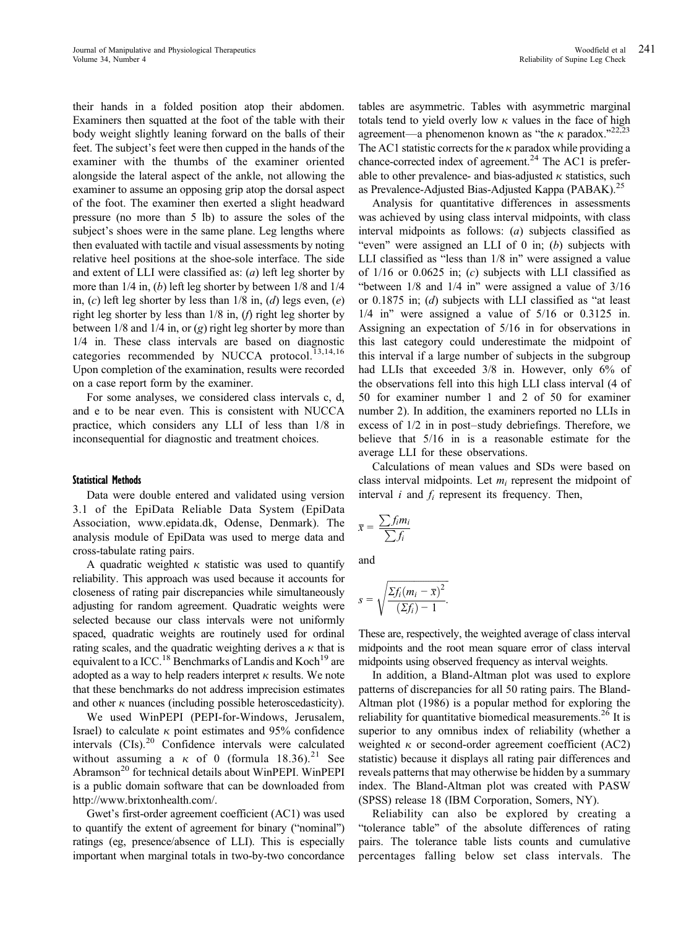their hands in a folded position atop their abdomen. Examiners then squatted at the foot of the table with their body weight slightly leaning forward on the balls of their feet. The subject's feet were then cupped in the hands of the examiner with the thumbs of the examiner oriented alongside the lateral aspect of the ankle, not allowing the examiner to assume an opposing grip atop the dorsal aspect of the foot. The examiner then exerted a slight headward pressure (no more than 5 lb) to assure the soles of the subject's shoes were in the same plane. Leg lengths where then evaluated with tactile and visual assessments by noting relative heel positions at the shoe-sole interface. The side and extent of LLI were classified as:  $(a)$  left leg shorter by more than  $1/4$  in, (b) left leg shorter by between  $1/8$  and  $1/4$ in, (c) left leg shorter by less than  $1/8$  in, (d) legs even, (e) right leg shorter by less than 1/8 in, (f) right leg shorter by between  $1/8$  and  $1/4$  in, or  $(g)$  right leg shorter by more than 1/4 in. These class intervals are based on diagnostic categories recommended by NUCCA protocol.<sup>13,14,16</sup> Upon completion of the examination, results were recorded on a case report form by the examiner.

For some analyses, we considered class intervals c, d, and e to be near even. This is consistent with NUCCA practice, which considers any LLI of less than 1/8 in inconsequential for diagnostic and treatment choices.

# Statistical Methods

Data were double entered and validated using version 3.1 of the EpiData Reliable Data System (EpiData Association, www.epidata.dk, Odense, Denmark). The analysis module of EpiData was used to merge data and cross-tabulate rating pairs.

A quadratic weighted  $\kappa$  statistic was used to quantify reliability. This approach was used because it accounts for closeness of rating pair discrepancies while simultaneously adjusting for random agreement. Quadratic weights were selected because our class intervals were not uniformly spaced, quadratic weights are routinely used for ordinal rating scales, and the quadratic weighting derives a  $\kappa$  that is equivalent to a ICC.<sup>18</sup> Benchmarks of Landis and Koch<sup>19</sup> are adopted as a way to help readers interpret  $\kappa$  results. We note that these benchmarks do not address imprecision estimates and other  $\kappa$  nuances (including possible heteroscedasticity).

We used WinPEPI (PEPI-for-Windows, Jerusalem, Israel) to calculate  $\kappa$  point estimates and 95% confidence intervals (CIs).<sup>20</sup> Confidence intervals were calculated without assuming a  $\kappa$  of 0 (formula 18.36).<sup>21</sup> See Abramson<sup>20</sup> for technical details about WinPEPI. WinPEPI is a public domain software that can be downloaded from http://www.brixtonhealth.com/.

Gwet's first-order agreement coefficient (AC1) was used to quantify the extent of agreement for binary ("nominal") ratings (eg, presence/absence of LLI). This is especially important when marginal totals in two-by-two concordance tables are asymmetric. Tables with asymmetric marginal totals tend to yield overly low  $\kappa$  values in the face of high agreement—a phenomenon known as "the  $\kappa$  paradox."<sup>22,23</sup> The AC1 statistic corrects for the  $\kappa$  paradox while providing a chance-corrected index of agreement. $^{24}$  The AC1 is preferable to other prevalence- and bias-adjusted  $\kappa$  statistics, such as Prevalence-Adjusted Bias-Adjusted Kappa (PABAK).<sup>25</sup>

Analysis for quantitative differences in assessments was achieved by using class interval midpoints, with class interval midpoints as follows: (a) subjects classified as "even" were assigned an LLI of 0 in; (b) subjects with LLI classified as "less than 1/8 in" were assigned a value of  $1/16$  or  $0.0625$  in; (c) subjects with LLI classified as "between 1/8 and 1/4 in" were assigned a value of 3/16 or 0.1875 in; (d) subjects with LLI classified as "at least 1/4 in" were assigned a value of 5/16 or 0.3125 in. Assigning an expectation of 5/16 in for observations in this last category could underestimate the midpoint of this interval if a large number of subjects in the subgroup had LLIs that exceeded  $3/8$  in. However, only 6% of the observations fell into this high LLI class interval (4 of 50 for examiner number 1 and 2 of 50 for examiner number 2). In addition, the examiners reported no LLIs in excess of 1/2 in in post–study debriefings. Therefore, we believe that 5/16 in is a reasonable estimate for the average LLI for these observations.

Calculations of mean values and SDs were based on class interval midpoints. Let  $m_i$  represent the midpoint of interval  $i$  and  $f_i$  represent its frequency. Then,

$$
\overline{x} = \frac{\sum f_i m_i}{\sum f_i}
$$

and

$$
s = \sqrt{\frac{\Sigma f_i(m_i - \overline{x})^2}{(\Sigma f_i) - 1}}.
$$

These are, respectively, the weighted average of class interval midpoints and the root mean square error of class interval midpoints using observed frequency as interval weights.

In addition, a Bland-Altman plot was used to explore patterns of discrepancies for all 50 rating pairs. The Bland-Altman plot (1986) is a popular method for exploring the reliability for quantitative biomedical measurements.<sup>26</sup> It is superior to any omnibus index of reliability (whether a weighted  $\kappa$  or second-order agreement coefficient (AC2) statistic) because it displays all rating pair differences and reveals patterns that may otherwise be hidden by a summary index. The Bland-Altman plot was created with PASW (SPSS) release 18 (IBM Corporation, Somers, NY).

Reliability can also be explored by creating a "tolerance table" of the absolute differences of rating pairs. The tolerance table lists counts and cumulative percentages falling below set class intervals. The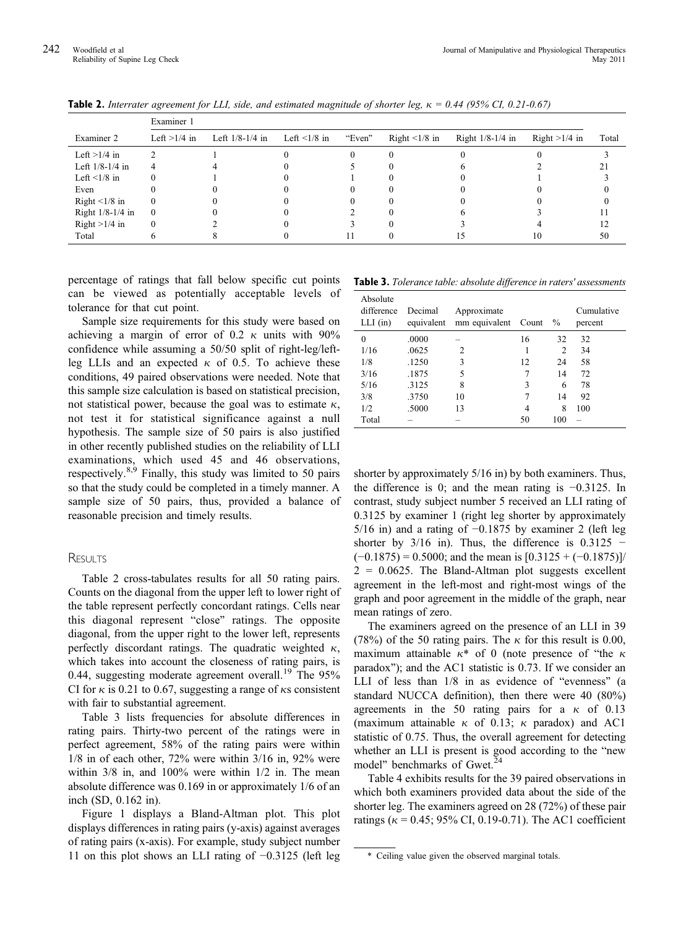|                     | Examiner 1     |                     |                    |        |                     |                    |                 |       |
|---------------------|----------------|---------------------|--------------------|--------|---------------------|--------------------|-----------------|-------|
| Examiner 2          | Left $>1/4$ in | Left $1/8 - 1/4$ in | Left $\leq$ 1/8 in | "Even" | Right $\leq$ 1/8 in | Right $1/8-1/4$ in | Right $>1/4$ in | Total |
| Left $>1/4$ in      |                |                     |                    |        |                     |                    |                 |       |
| Left $1/8 - 1/4$ in |                |                     |                    |        |                     |                    |                 | 21    |
| Left $\leq$ 1/8 in  |                |                     |                    |        |                     |                    |                 |       |
| Even                |                |                     |                    |        |                     |                    |                 |       |
| Right $\leq$ 1/8 in |                |                     |                    |        |                     |                    |                 |       |
| Right 1/8-1/4 in    | $\Omega$       |                     |                    |        |                     |                    |                 |       |
| Right $>1/4$ in     |                |                     |                    |        |                     |                    |                 |       |
| Total               |                |                     |                    |        |                     |                    | 10              | 50    |

Table 2. Interrater agreement for LLI, side, and estimated magnitude of shorter leg,  $\kappa = 0.44$  (95% CI, 0.21-0.67)

percentage of ratings that fall below specific cut points can be viewed as potentially acceptable levels of tolerance for that cut point.

Sample size requirements for this study were based on achieving a margin of error of 0.2  $\kappa$  units with 90% confidence while assuming a 50/50 split of right-leg/leftleg LLIs and an expected  $\kappa$  of 0.5. To achieve these conditions, 49 paired observations were needed. Note that this sample size calculation is based on statistical precision, not statistical power, because the goal was to estimate  $κ$ , not test it for statistical significance against a null hypothesis. The sample size of 50 pairs is also justified in other recently published studies on the reliability of LLI examinations, which used 45 and 46 observations, respectively. $8.9$  Finally, this study was limited to 50 pairs so that the study could be completed in a timely manner. A sample size of 50 pairs, thus, provided a balance of reasonable precision and timely results.

# **RESULTS**

Table 2 cross-tabulates results for all 50 rating pairs. Counts on the diagonal from the upper left to lower right of the table represent perfectly concordant ratings. Cells near this diagonal represent "close" ratings. The opposite diagonal, from the upper right to the lower left, represents perfectly discordant ratings. The quadratic weighted  $\kappa$ , which takes into account the closeness of rating pairs, is 0.44, suggesting moderate agreement overall.<sup>19</sup> The  $95\%$ CI for  $\kappa$  is 0.21 to 0.67, suggesting a range of  $\kappa$ s consistent with fair to substantial agreement.

Table 3 lists frequencies for absolute differences in rating pairs. Thirty-two percent of the ratings were in perfect agreement, 58% of the rating pairs were within 1/8 in of each other, 72% were within 3/16 in, 92% were within 3/8 in, and 100% were within 1/2 in. The mean absolute difference was 0.169 in or approximately 1/6 of an inch (SD, 0.162 in).

Figure 1 displays a Bland-Altman plot. This plot displays differences in rating pairs (y-axis) against averages of rating pairs (x-axis). For example, study subject number 11 on this plot shows an LLI rating of −0.3125 (left leg

Table 3. Tolerance table: absolute difference in raters' assessments

| Absolute<br>difference<br>$LLI$ (in) | Decimal<br>equivalent | Approximate<br>mm equivalent Count |    | $\%$           | Cumulative<br>percent |
|--------------------------------------|-----------------------|------------------------------------|----|----------------|-----------------------|
| $\theta$                             | .0000                 |                                    | 16 | 32             | 32                    |
| 1/16                                 | .0625                 | $\mathcal{L}$                      |    | $\overline{c}$ | 34                    |
| 1/8                                  | .1250                 | 3                                  | 12 | 24             | 58                    |
| 3/16                                 | .1875                 | 5                                  |    | 14             | 72                    |
| 5/16                                 | .3125                 | 8                                  | 3  | 6              | 78                    |
| 3/8                                  | .3750                 | 10                                 | 7  | 14             | 92                    |
| 1/2                                  | .5000                 | 13                                 | 4  | 8              | 100                   |
| Total                                |                       |                                    | 50 | 100            |                       |

shorter by approximately 5/16 in) by both examiners. Thus, the difference is 0; and the mean rating is −0.3125. In contrast, study subject number 5 received an LLI rating of 0.3125 by examiner 1 (right leg shorter by approximately 5/16 in) and a rating of  $-0.1875$  by examiner 2 (left leg shorter by 3/16 in). Thus, the difference is 0.3125 −  $(-0.1875) = 0.5000$ ; and the mean is  $[0.3125 + (-0.1875)]$  $2 = 0.0625$ . The Bland-Altman plot suggests excellent agreement in the left-most and right-most wings of the graph and poor agreement in the middle of the graph, near mean ratings of zero.

The examiners agreed on the presence of an LLI in 39 (78%) of the 50 rating pairs. The  $\kappa$  for this result is 0.00, maximum attainable  $\kappa^*$  of 0 (note presence of "the  $\kappa$ paradox"); and the AC1 statistic is 0.73. If we consider an LLI of less than 1/8 in as evidence of "evenness" (a standard NUCCA definition), then there were 40 (80%) agreements in the 50 rating pairs for a  $\kappa$  of 0.13 (maximum attainable  $\kappa$  of 0.13;  $\kappa$  paradox) and AC1 statistic of 0.75. Thus, the overall agreement for detecting whether an LLI is present is good according to the "new model" benchmarks of Gwet.<sup>24</sup>

Table 4 exhibits results for the 39 paired observations in which both examiners provided data about the side of the shorter leg. The examiners agreed on 28 (72%) of these pair ratings ( $\kappa$  = 0.45; 95% CI, 0.19-0.71). The AC1 coefficient

<sup>⁎</sup> Ceiling value given the observed marginal totals.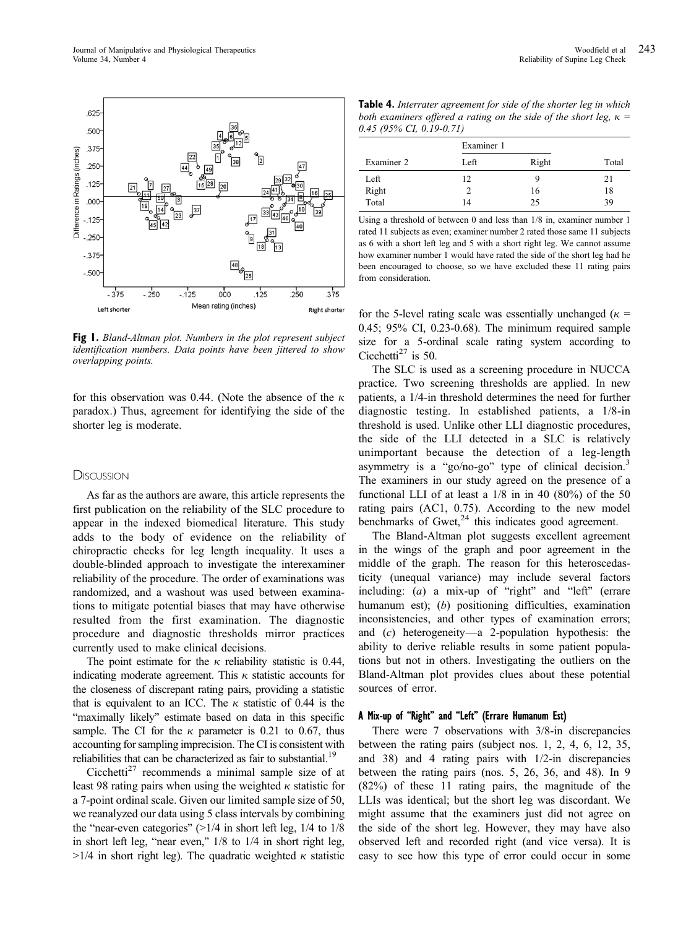

Fig 1. Bland-Altman plot. Numbers in the plot represent subject identification numbers. Data points have been jittered to show overlapping points.

for this observation was 0.44. (Note the absence of the  $\kappa$ paradox.) Thus, agreement for identifying the side of the shorter leg is moderate.

# **DISCUSSION**

As far as the authors are aware, this article represents the first publication on the reliability of the SLC procedure to appear in the indexed biomedical literature. This study adds to the body of evidence on the reliability of chiropractic checks for leg length inequality. It uses a double-blinded approach to investigate the interexaminer reliability of the procedure. The order of examinations was randomized, and a washout was used between examinations to mitigate potential biases that may have otherwise resulted from the first examination. The diagnostic procedure and diagnostic thresholds mirror practices currently used to make clinical decisions.

The point estimate for the  $\kappa$  reliability statistic is 0.44, indicating moderate agreement. This  $\kappa$  statistic accounts for the closeness of discrepant rating pairs, providing a statistic that is equivalent to an ICC. The  $\kappa$  statistic of 0.44 is the "maximally likely" estimate based on data in this specific sample. The CI for the  $\kappa$  parameter is 0.21 to 0.67, thus accounting for sampling imprecision. The CI is consistent with reliabilities that can be characterized as fair to substantial.<sup>19</sup>

Cicchetti<sup>27</sup> recommends a minimal sample size of at least 98 rating pairs when using the weighted  $\kappa$  statistic for a 7-point ordinal scale. Given our limited sample size of 50, we reanalyzed our data using 5 class intervals by combining the "near-even categories"  $(>1/4$  in short left leg,  $1/4$  to  $1/8$ in short left leg, "near even," 1/8 to 1/4 in short right leg,  $>1/4$  in short right leg). The quadratic weighted  $\kappa$  statistic

Table 4. Interrater agreement for side of the shorter leg in which both examiners offered a rating on the side of the short leg,  $\kappa$  = 0.45 (95% CI, 0.19-0.71)

|                | Examiner 1 |       |       |
|----------------|------------|-------|-------|
| Examiner 2     | Left       | Right | Total |
| Left           | 12         |       | 21    |
| Right<br>Total |            | 16    | 18    |
|                | 14         | 25    | 39    |

Using a threshold of between 0 and less than 1/8 in, examiner number 1 rated 11 subjects as even; examiner number 2 rated those same 11 subjects as 6 with a short left leg and 5 with a short right leg. We cannot assume how examiner number 1 would have rated the side of the short leg had he been encouraged to choose, so we have excluded these 11 rating pairs from consideration.

for the 5-level rating scale was essentially unchanged ( $\kappa$  = 0.45; 95% CI, 0.23-0.68). The minimum required sample size for a 5-ordinal scale rating system according to Cicchetti<sup>27</sup> is 50.

The SLC is used as a screening procedure in NUCCA practice. Two screening thresholds are applied. In new patients, a 1/4-in threshold determines the need for further diagnostic testing. In established patients, a 1/8-in threshold is used. Unlike other LLI diagnostic procedures, the side of the LLI detected in a SLC is relatively unimportant because the detection of a leg-length asymmetry is a "go/no-go" type of clinical decision.<sup>3</sup> The examiners in our study agreed on the presence of a functional LLI of at least a 1/8 in in 40 (80%) of the 50 rating pairs (AC1, 0.75). According to the new model benchmarks of Gwet, $^{24}$  this indicates good agreement.

The Bland-Altman plot suggests excellent agreement in the wings of the graph and poor agreement in the middle of the graph. The reason for this heteroscedasticity (unequal variance) may include several factors including: (a) a mix-up of "right" and "left" (errare humanum est); (b) positioning difficulties, examination inconsistencies, and other types of examination errors; and (c) heterogeneity—a 2-population hypothesis: the ability to derive reliable results in some patient populations but not in others. Investigating the outliers on the Bland-Altman plot provides clues about these potential sources of error.

# A Mix-up of "Right" and "Left" (Errare Humanum Est)

There were 7 observations with 3/8-in discrepancies between the rating pairs (subject nos. 1, 2, 4, 6, 12, 35, and 38) and 4 rating pairs with 1/2-in discrepancies between the rating pairs (nos. 5, 26, 36, and 48). In 9 (82%) of these 11 rating pairs, the magnitude of the LLIs was identical; but the short leg was discordant. We might assume that the examiners just did not agree on the side of the short leg. However, they may have also observed left and recorded right (and vice versa). It is easy to see how this type of error could occur in some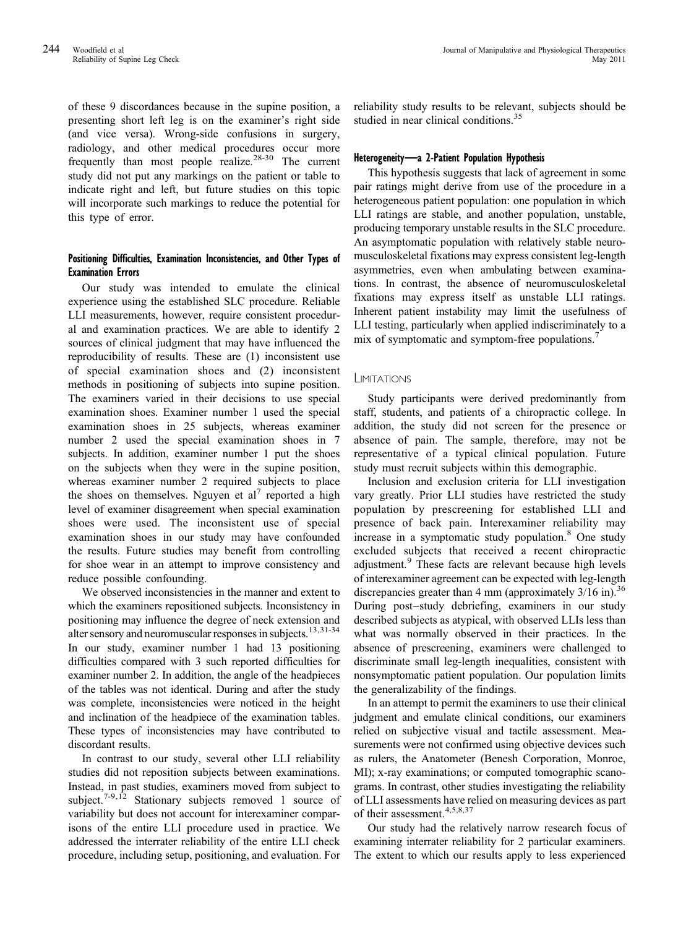of these 9 discordances because in the supine position, a presenting short left leg is on the examiner's right side (and vice versa). Wrong-side confusions in surgery, radiology, and other medical procedures occur more frequently than most people realize.<sup>28-30</sup> The current study did not put any markings on the patient or table to indicate right and left, but future studies on this topic will incorporate such markings to reduce the potential for this type of error.

# Positioning Difficulties, Examination Inconsistencies, and Other Types of Examination Errors

Our study was intended to emulate the clinical experience using the established SLC procedure. Reliable LLI measurements, however, require consistent procedural and examination practices. We are able to identify 2 sources of clinical judgment that may have influenced the reproducibility of results. These are (1) inconsistent use of special examination shoes and (2) inconsistent methods in positioning of subjects into supine position. The examiners varied in their decisions to use special examination shoes. Examiner number 1 used the special examination shoes in 25 subjects, whereas examiner number 2 used the special examination shoes in 7 subjects. In addition, examiner number 1 put the shoes on the subjects when they were in the supine position, whereas examiner number 2 required subjects to place the shoes on themselves. Nguyen et al' reported a high level of examiner disagreement when special examination shoes were used. The inconsistent use of special examination shoes in our study may have confounded the results. Future studies may benefit from controlling for shoe wear in an attempt to improve consistency and reduce possible confounding.

We observed inconsistencies in the manner and extent to which the examiners repositioned subjects. Inconsistency in positioning may influence the degree of neck extension and alter sensory and neuromuscular responses in subjects.<sup>13,31-34</sup> In our study, examiner number 1 had 13 positioning difficulties compared with 3 such reported difficulties for examiner number 2. In addition, the angle of the headpieces of the tables was not identical. During and after the study was complete, inconsistencies were noticed in the height and inclination of the headpiece of the examination tables. These types of inconsistencies may have contributed to discordant results.

In contrast to our study, several other LLI reliability studies did not reposition subjects between examinations. Instead, in past studies, examiners moved from subject to subject.<sup>7-9,12</sup> Stationary subjects removed 1 source of variability but does not account for interexaminer comparisons of the entire LLI procedure used in practice. We addressed the interrater reliability of the entire LLI check procedure, including setup, positioning, and evaluation. For reliability study results to be relevant, subjects should be studied in near clinical conditions.<sup>35</sup>

# Heterogeneity—a 2-Patient Population Hypothesis

This hypothesis suggests that lack of agreement in some pair ratings might derive from use of the procedure in a heterogeneous patient population: one population in which LLI ratings are stable, and another population, unstable, producing temporary unstable results in the SLC procedure. An asymptomatic population with relatively stable neuromusculoskeletal fixations may express consistent leg-length asymmetries, even when ambulating between examinations. In contrast, the absence of neuromusculoskeletal fixations may express itself as unstable LLI ratings. Inherent patient instability may limit the usefulness of LLI testing, particularly when applied indiscriminately to a mix of symptomatic and symptom-free populations.

# LIMITATIONS

Study participants were derived predominantly from staff, students, and patients of a chiropractic college. In addition, the study did not screen for the presence or absence of pain. The sample, therefore, may not be representative of a typical clinical population. Future study must recruit subjects within this demographic.

Inclusion and exclusion criteria for LLI investigation vary greatly. Prior LLI studies have restricted the study population by prescreening for established LLI and presence of back pain. Interexaminer reliability may increase in a symptomatic study population.<sup>8</sup> One study excluded subjects that received a recent chiropractic adjustment.<sup>9</sup> These facts are relevant because high levels of interexaminer agreement can be expected with leg-length discrepancies greater than 4 mm (approximately  $3/16$  in).<sup>36</sup> During post–study debriefing, examiners in our study described subjects as atypical, with observed LLIs less than what was normally observed in their practices. In the absence of prescreening, examiners were challenged to discriminate small leg-length inequalities, consistent with nonsymptomatic patient population. Our population limits the generalizability of the findings.

In an attempt to permit the examiners to use their clinical judgment and emulate clinical conditions, our examiners relied on subjective visual and tactile assessment. Measurements were not confirmed using objective devices such as rulers, the Anatometer (Benesh Corporation, Monroe, MI); x-ray examinations; or computed tomographic scanograms. In contrast, other studies investigating the reliability of LLI assessments have relied on measuring devices as part of their assessment.<sup>4,5,8,37</sup>

Our study had the relatively narrow research focus of examining interrater reliability for 2 particular examiners. The extent to which our results apply to less experienced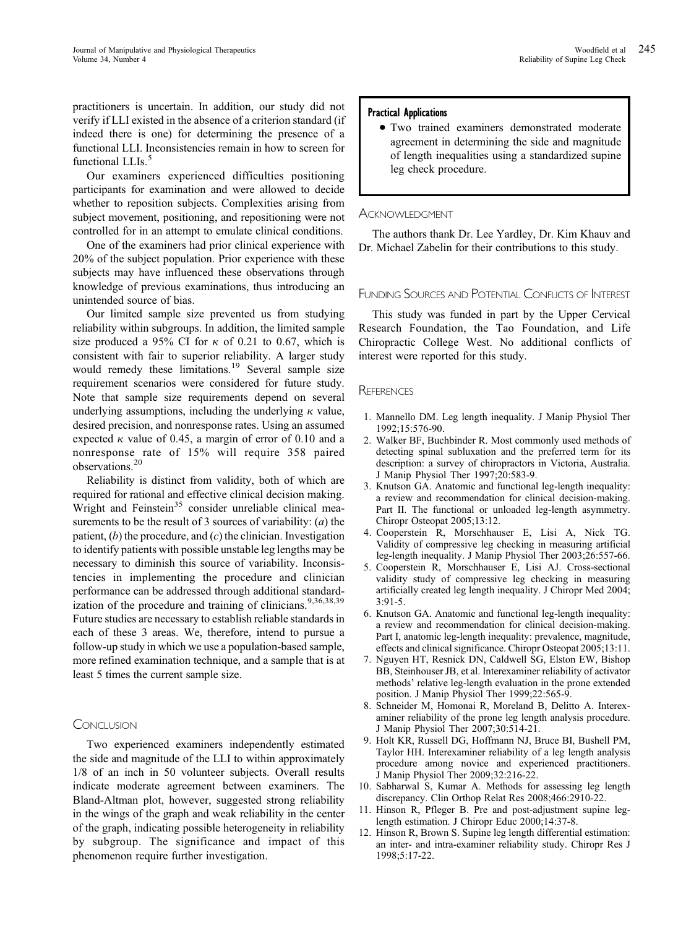practitioners is uncertain. In addition, our study did not verify if LLI existed in the absence of a criterion standard (if indeed there is one) for determining the presence of a functional LLI. Inconsistencies remain in how to screen for functional LLIs.<sup>5</sup>

Our examiners experienced difficulties positioning participants for examination and were allowed to decide whether to reposition subjects. Complexities arising from subject movement, positioning, and repositioning were not controlled for in an attempt to emulate clinical conditions.

One of the examiners had prior clinical experience with 20% of the subject population. Prior experience with these subjects may have influenced these observations through knowledge of previous examinations, thus introducing an unintended source of bias.

Our limited sample size prevented us from studying reliability within subgroups. In addition, the limited sample size produced a 95% CI for  $\kappa$  of 0.21 to 0.67, which is consistent with fair to superior reliability. A larger study would remedy these limitations.<sup>19</sup> Several sample size requirement scenarios were considered for future study. Note that sample size requirements depend on several underlying assumptions, including the underlying  $\kappa$  value, desired precision, and nonresponse rates. Using an assumed expected  $\kappa$  value of 0.45, a margin of error of 0.10 and a nonresponse rate of 15% will require 358 paired observations.<sup>20</sup>

Reliability is distinct from validity, both of which are required for rational and effective clinical decision making. Wright and Feinstein<sup>35</sup> consider unreliable clinical measurements to be the result of 3 sources of variability:  $(a)$  the patient,  $(b)$  the procedure, and  $(c)$  the clinician. Investigation to identify patients with possible unstable leg lengths may be necessary to diminish this source of variability. Inconsistencies in implementing the procedure and clinician performance can be addressed through additional standardization of the procedure and training of clinicians.<sup>9,36,38,39</sup> Future studies are necessary to establish reliable standards in each of these 3 areas. We, therefore, intend to pursue a follow-up study in which we use a population-based sample, more refined examination technique, and a sample that is at least 5 times the current sample size.

# **CONCLUSION**

Two experienced examiners independently estimated the side and magnitude of the LLI to within approximately 1/8 of an inch in 50 volunteer subjects. Overall results indicate moderate agreement between examiners. The Bland-Altman plot, however, suggested strong reliability in the wings of the graph and weak reliability in the center of the graph, indicating possible heterogeneity in reliability by subgroup. The significance and impact of this phenomenon require further investigation.

# Practical Applications

• Two trained examiners demonstrated moderate agreement in determining the side and magnitude of length inequalities using a standardized supine leg check procedure.

#### **ACKNOWLEDGMENT**

The authors thank Dr. Lee Yardley, Dr. Kim Khauv and Dr. Michael Zabelin for their contributions to this study.

# FUNDING SOURCES AND POTENTIAL CONFLICTS OF INTEREST

This study was funded in part by the Upper Cervical Research Foundation, the Tao Foundation, and Life Chiropractic College West. No additional conflicts of interest were reported for this study.

#### **REFERENCES**

- 1. Mannello DM. Leg length inequality. J Manip Physiol Ther 1992;15:576-90.
- 2. Walker BF, Buchbinder R. Most commonly used methods of detecting spinal subluxation and the preferred term for its description: a survey of chiropractors in Victoria, Australia. J Manip Physiol Ther 1997;20:583-9.
- 3. Knutson GA. Anatomic and functional leg-length inequality: a review and recommendation for clinical decision-making. Part II. The functional or unloaded leg-length asymmetry. Chiropr Osteopat 2005;13:12.
- 4. Cooperstein R, Morschhauser E, Lisi A, Nick TG. Validity of compressive leg checking in measuring artificial leg-length inequality. J Manip Physiol Ther 2003;26:557-66.
- 5. Cooperstein R, Morschhauser E, Lisi AJ. Cross-sectional validity study of compressive leg checking in measuring artificially created leg length inequality. J Chiropr Med 2004; 3:91-5.
- 6. Knutson GA. Anatomic and functional leg-length inequality: a review and recommendation for clinical decision-making. Part I, anatomic leg-length inequality: prevalence, magnitude, effects and clinical significance. Chiropr Osteopat 2005;13:11.
- 7. Nguyen HT, Resnick DN, Caldwell SG, Elston EW, Bishop BB, Steinhouser JB, et al. Interexaminer reliability of activator methods' relative leg-length evaluation in the prone extended position. J Manip Physiol Ther 1999;22:565-9.
- 8. Schneider M, Homonai R, Moreland B, Delitto A. Interexaminer reliability of the prone leg length analysis procedure. J Manip Physiol Ther 2007;30:514-21.
- 9. Holt KR, Russell DG, Hoffmann NJ, Bruce BI, Bushell PM, Taylor HH. Interexaminer reliability of a leg length analysis procedure among novice and experienced practitioners. J Manip Physiol Ther 2009;32:216-22.
- 10. Sabharwal S, Kumar A. Methods for assessing leg length discrepancy. Clin Orthop Relat Res 2008;466:2910-22.
- 11. Hinson R, Pfleger B. Pre and post-adjustment supine leglength estimation. J Chiropr Educ 2000;14:37-8.
- 12. Hinson R, Brown S. Supine leg length differential estimation: an inter- and intra-examiner reliability study. Chiropr Res J 1998;5:17-22.